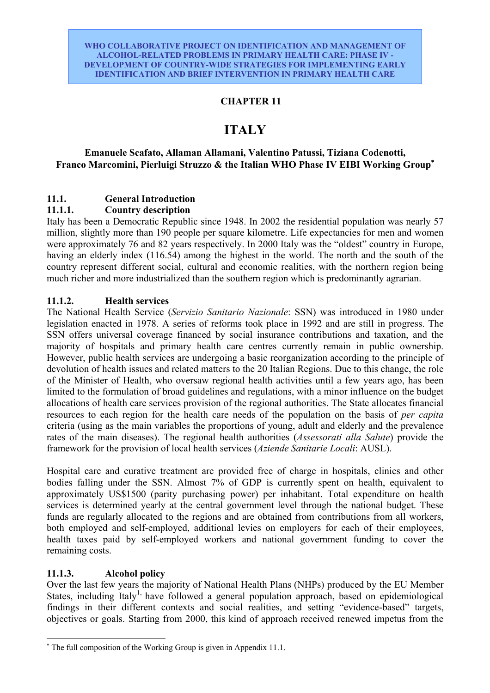# **CHAPTER 11**

# **ITALY**

# **Emanuele Scafato, Allaman Allamani, Valentino Patussi, Tiziana Codenotti, Franco Marcomini, Pierluigi Struzzo & the Italian WHO Phase IV EIBI Working Group**<sup>∗</sup>

# **11.1. General Introduction**

# **11.1.1. Country description**

Italy has been a Democratic Republic since 1948. In 2002 the residential population was nearly 57 million, slightly more than 190 people per square kilometre. Life expectancies for men and women were approximately 76 and 82 years respectively. In 2000 Italy was the "oldest" country in Europe, having an elderly index (116.54) among the highest in the world. The north and the south of the country represent different social, cultural and economic realities, with the northern region being much richer and more industrialized than the southern region which is predominantly agrarian.

# **11.1.2. Health services**

The National Health Service (*Servizio Sanitario Nazionale*: SSN) was introduced in 1980 under legislation enacted in 1978. A series of reforms took place in 1992 and are still in progress. The SSN offers universal coverage financed by social insurance contributions and taxation, and the majority of hospitals and primary health care centres currently remain in public ownership. However, public health services are undergoing a basic reorganization according to the principle of devolution of health issues and related matters to the 20 Italian Regions. Due to this change, the role of the Minister of Health, who oversaw regional health activities until a few years ago, has been limited to the formulation of broad guidelines and regulations, with a minor influence on the budget allocations of health care services provision of the regional authorities. The State allocates financial resources to each region for the health care needs of the population on the basis of *per capita* criteria (using as the main variables the proportions of young, adult and elderly and the prevalence rates of the main diseases). The regional health authorities (*Assessorati alla Salute*) provide the framework for the provision of local health services (*Aziende Sanitarie Locali*: AUSL).

Hospital care and curative treatment are provided free of charge in hospitals, clinics and other bodies falling under the SSN. Almost 7% of GDP is currently spent on health, equivalent to approximately US\$1500 (parity purchasing power) per inhabitant. Total expenditure on health services is determined yearly at the central government level through the national budget. These funds are regularly allocated to the regions and are obtained from contributions from all workers, both employed and self-employed, additional levies on employers for each of their employees, health taxes paid by self-employed workers and national government funding to cover the remaining costs.

# **11.1.3. Alcohol policy**

 $\overline{a}$ 

Over the last few years the majority of National Health Plans (NHPs) produced by the EU Member States, including Italy<sup>1,</sup> have followed a general population approach, based on epidemiological findings in their different contexts and social realities, and setting "evidence-based" targets, objectives or goals. Starting from 2000, this kind of approach received renewed impetus from the

<sup>∗</sup> The full composition of the Working Group is given in Appendix 11.1.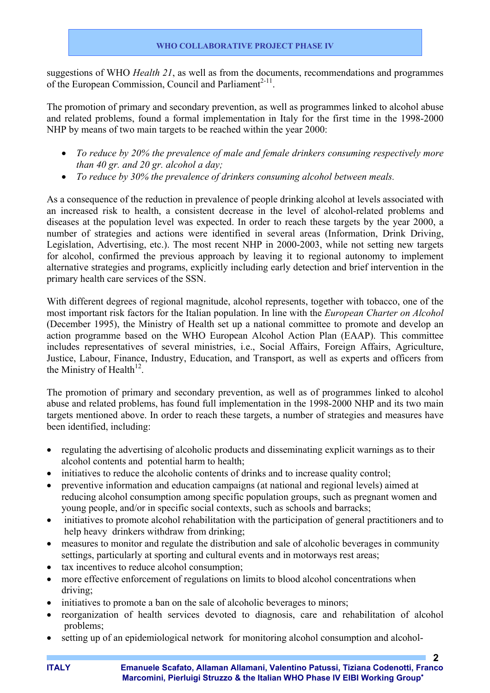suggestions of WHO *Health 21*, as well as from the documents, recommendations and programmes of the European Commission, Council and Parliament<sup>2-11</sup>.

The promotion of primary and secondary prevention, as well as programmes linked to alcohol abuse and related problems, found a formal implementation in Italy for the first time in the 1998-2000 NHP by means of two main targets to be reached within the year 2000:

- *To reduce by 20% the prevalence of male and female drinkers consuming respectively more than 40 gr. and 20 gr. alcohol a day;*
- *To reduce by 30% the prevalence of drinkers consuming alcohol between meals.*

As a consequence of the reduction in prevalence of people drinking alcohol at levels associated with an increased risk to health, a consistent decrease in the level of alcohol-related problems and diseases at the population level was expected. In order to reach these targets by the year 2000, a number of strategies and actions were identified in several areas (Information, Drink Driving, Legislation, Advertising, etc.). The most recent NHP in 2000-2003, while not setting new targets for alcohol, confirmed the previous approach by leaving it to regional autonomy to implement alternative strategies and programs, explicitly including early detection and brief intervention in the primary health care services of the SSN.

With different degrees of regional magnitude, alcohol represents, together with tobacco, one of the most important risk factors for the Italian population. In line with the *European Charter on Alcohol* (December 1995), the Ministry of Health set up a national committee to promote and develop an action programme based on the WHO European Alcohol Action Plan (EAAP). This committee includes representatives of several ministries, i.e., Social Affairs, Foreign Affairs, Agriculture, Justice, Labour, Finance, Industry, Education, and Transport, as well as experts and officers from the Ministry of Health<sup>12</sup>.

The promotion of primary and secondary prevention, as well as of programmes linked to alcohol abuse and related problems, has found full implementation in the 1998-2000 NHP and its two main targets mentioned above. In order to reach these targets, a number of strategies and measures have been identified, including:

- regulating the advertising of alcoholic products and disseminating explicit warnings as to their alcohol contents and potential harm to health;
- initiatives to reduce the alcoholic contents of drinks and to increase quality control;
- preventive information and education campaigns (at national and regional levels) aimed at reducing alcohol consumption among specific population groups, such as pregnant women and young people, and/or in specific social contexts, such as schools and barracks;
- initiatives to promote alcohol rehabilitation with the participation of general practitioners and to help heavy drinkers withdraw from drinking:
- measures to monitor and regulate the distribution and sale of alcoholic beverages in community settings, particularly at sporting and cultural events and in motorways rest areas;
- tax incentives to reduce alcohol consumption;
- more effective enforcement of regulations on limits to blood alcohol concentrations when driving;
- initiatives to promote a ban on the sale of alcoholic beverages to minors;
- reorganization of health services devoted to diagnosis, care and rehabilitation of alcohol problems;
- setting up of an epidemiological network for monitoring alcohol consumption and alcohol-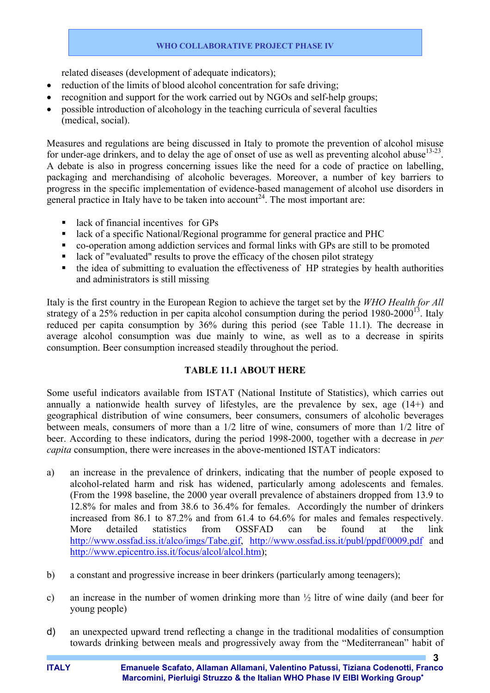related diseases (development of adequate indicators);

- reduction of the limits of blood alcohol concentration for safe driving;
- recognition and support for the work carried out by NGOs and self-help groups;
- possible introduction of alcohology in the teaching curricula of several faculties (medical, social).

Measures and regulations are being discussed in Italy to promote the prevention of alcohol misuse for under-age drinkers, and to delay the age of onset of use as well as preventing alcohol abuse<sup>13-23</sup>. A debate is also in progress concerning issues like the need for a code of practice on labelling, packaging and merchandising of alcoholic beverages. Moreover, a number of key barriers to progress in the specific implementation of evidence-based management of alcohol use disorders in general practice in Italy have to be taken into account<sup>24</sup>. The most important are:

- $\blacksquare$  lack of financial incentives for GPs
- lack of a specific National/Regional programme for general practice and PHC
- co-operation among addiction services and formal links with GPs are still to be promoted
- lack of "evaluated" results to prove the efficacy of the chosen pilot strategy
- the idea of submitting to evaluation the effectiveness of HP strategies by health authorities and administrators is still missing

Italy is the first country in the European Region to achieve the target set by the *WHO Health for All* strategy of a 25% reduction in per capita alcohol consumption during the period  $1980-2000^{13}$ . Italy reduced per capita consumption by 36% during this period (see Table 11.1). The decrease in average alcohol consumption was due mainly to wine, as well as to a decrease in spirits consumption. Beer consumption increased steadily throughout the period.

# **TABLE 11.1 ABOUT HERE**

Some useful indicators available from ISTAT (National Institute of Statistics), which carries out annually a nationwide health survey of lifestyles, are the prevalence by sex, age (14+) and geographical distribution of wine consumers, beer consumers, consumers of alcoholic beverages between meals, consumers of more than a 1/2 litre of wine, consumers of more than 1/2 litre of beer. According to these indicators, during the period 1998-2000, together with a decrease in *per capita* consumption, there were increases in the above-mentioned ISTAT indicators:

- a) an increase in the prevalence of drinkers, indicating that the number of people exposed to alcohol-related harm and risk has widened, particularly among adolescents and females. (From the 1998 baseline, the 2000 year overall prevalence of abstainers dropped from 13.9 to 12.8% for males and from 38.6 to 36.4% for females. Accordingly the number of drinkers increased from 86.1 to 87.2% and from 61.4 to 64.6% for males and females respectively. More detailed statistics from OSSFAD can be found at the link http://www.ossfad.iss.it/alco/imgs/Tabe.gif, http://www.ossfad.iss.it/publ/ppdf/0009.pdf and http://www.epicentro.iss.it/focus/alcol/alcol.htm);
- b) a constant and progressive increase in beer drinkers (particularly among teenagers);
- c) an increase in the number of women drinking more than ½ litre of wine daily (and beer for young people)
- d) an unexpected upward trend reflecting a change in the traditional modalities of consumption towards drinking between meals and progressively away from the "Mediterranean" habit of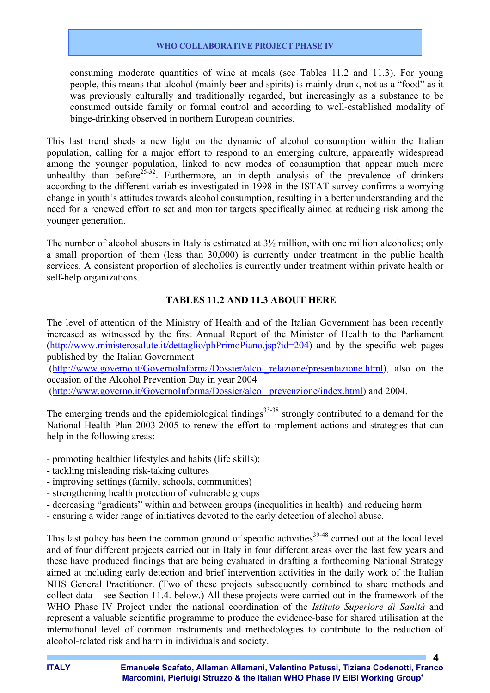consuming moderate quantities of wine at meals (see Tables 11.2 and 11.3). For young people, this means that alcohol (mainly beer and spirits) is mainly drunk, not as a "food" as it was previously culturally and traditionally regarded, but increasingly as a substance to be consumed outside family or formal control and according to well-established modality of binge-drinking observed in northern European countries.

This last trend sheds a new light on the dynamic of alcohol consumption within the Italian population, calling for a major effort to respond to an emerging culture, apparently widespread among the younger population, linked to new modes of consumption that appear much more unhealthy than before<sup>25-32</sup>. Furthermore, an in-depth analysis of the prevalence of drinkers according to the different variables investigated in 1998 in the ISTAT survey confirms a worrying change in youth's attitudes towards alcohol consumption, resulting in a better understanding and the need for a renewed effort to set and monitor targets specifically aimed at reducing risk among the younger generation.

The number of alcohol abusers in Italy is estimated at 3½ million, with one million alcoholics; only a small proportion of them (less than 30,000) is currently under treatment in the public health services. A consistent proportion of alcoholics is currently under treatment within private health or self-help organizations.

# **TABLES 11.2 AND 11.3 ABOUT HERE**

The level of attention of the Ministry of Health and of the Italian Government has been recently increased as witnessed by the first Annual Report of the Minister of Health to the Parliament (http://www.ministerosalute.it/dettaglio/phPrimoPiano.jsp?id=204) and by the specific web pages published by the Italian Government

(http://www.governo.it/GovernoInforma/Dossier/alcol\_relazione/presentazione.html), also on the occasion of the Alcohol Prevention Day in year 2004

(http://www.governo.it/GovernoInforma/Dossier/alcol\_prevenzione/index.html) and 2004.

The emerging trends and the epidemiological findings<sup>33-38</sup> strongly contributed to a demand for the National Health Plan 2003-2005 to renew the effort to implement actions and strategies that can help in the following areas:

- promoting healthier lifestyles and habits (life skills);
- tackling misleading risk-taking cultures
- improving settings (family, schools, communities)
- strengthening health protection of vulnerable groups
- decreasing "gradients" within and between groups (inequalities in health) and reducing harm
- ensuring a wider range of initiatives devoted to the early detection of alcohol abuse.

This last policy has been the common ground of specific activities<sup>39-48</sup> carried out at the local level and of four different projects carried out in Italy in four different areas over the last few years and these have produced findings that are being evaluated in drafting a forthcoming National Strategy aimed at including early detection and brief intervention activities in the daily work of the Italian NHS General Practitioner. (Two of these projects subsequently combined to share methods and collect data – see Section 11.4. below.) All these projects were carried out in the framework of the WHO Phase IV Project under the national coordination of the *Istituto Superiore di Sanità* and represent a valuable scientific programme to produce the evidence-base for shared utilisation at the international level of common instruments and methodologies to contribute to the reduction of alcohol-related risk and harm in individuals and society.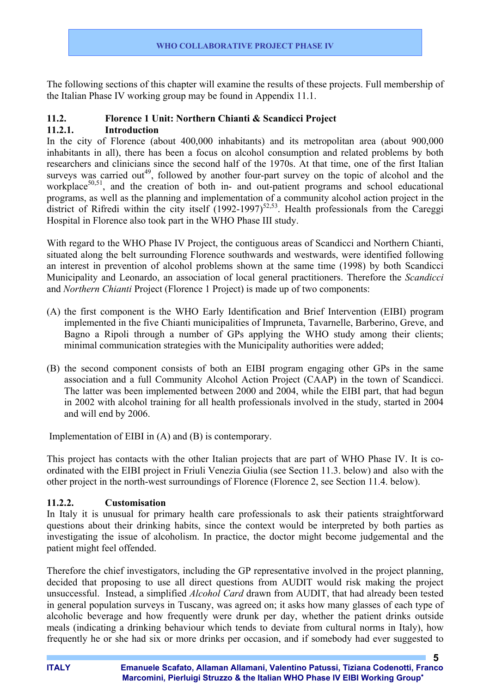The following sections of this chapter will examine the results of these projects. Full membership of the Italian Phase IV working group may be found in Appendix 11.1.

# **11.2. Florence 1 Unit: Northern Chianti & Scandicci Project**

# **11.2.1. Introduction**

In the city of Florence (about 400,000 inhabitants) and its metropolitan area (about 900,000 inhabitants in all), there has been a focus on alcohol consumption and related problems by both researchers and clinicians since the second half of the 1970s. At that time, one of the first Italian surveys was carried out<sup>49</sup>, followed by another four-part survey on the topic of alcohol and the workplace<sup>50,51</sup>, and the creation of both in- and out-patient programs and school educational programs, as well as the planning and implementation of a community alcohol action project in the district of Rifredi within the city itself (1992-1997)<sup>52,53</sup>. Health professionals from the Careggi Hospital in Florence also took part in the WHO Phase III study.

With regard to the WHO Phase IV Project, the contiguous areas of Scandicci and Northern Chianti, situated along the belt surrounding Florence southwards and westwards, were identified following an interest in prevention of alcohol problems shown at the same time (1998) by both Scandicci Municipality and Leonardo, an association of local general practitioners. Therefore the *Scandicci* and *Northern Chianti* Project (Florence 1 Project) is made up of two components:

- (A) the first component is the WHO Early Identification and Brief Intervention (EIBI) program implemented in the five Chianti municipalities of Impruneta, Tavarnelle, Barberino, Greve, and Bagno a Ripoli through a number of GPs applying the WHO study among their clients; minimal communication strategies with the Municipality authorities were added;
- (B) the second component consists of both an EIBI program engaging other GPs in the same association and a full Community Alcohol Action Project (CAAP) in the town of Scandicci. The latter was been implemented between 2000 and 2004, while the EIBI part, that had begun in 2002 with alcohol training for all health professionals involved in the study, started in 2004 and will end by 2006.

Implementation of EIBI in (A) and (B) is contemporary.

This project has contacts with the other Italian projects that are part of WHO Phase IV. It is coordinated with the EIBI project in Friuli Venezia Giulia (see Section 11.3. below) and also with the other project in the north-west surroundings of Florence (Florence 2, see Section 11.4. below).

# **11.2.2. Customisation**

In Italy it is unusual for primary health care professionals to ask their patients straightforward questions about their drinking habits, since the context would be interpreted by both parties as investigating the issue of alcoholism. In practice, the doctor might become judgemental and the patient might feel offended.

Therefore the chief investigators, including the GP representative involved in the project planning, decided that proposing to use all direct questions from AUDIT would risk making the project unsuccessful. Instead, a simplified *Alcohol Card* drawn from AUDIT, that had already been tested in general population surveys in Tuscany, was agreed on; it asks how many glasses of each type of alcoholic beverage and how frequently were drunk per day, whether the patient drinks outside meals (indicating a drinking behaviour which tends to deviate from cultural norms in Italy), how frequently he or she had six or more drinks per occasion, and if somebody had ever suggested to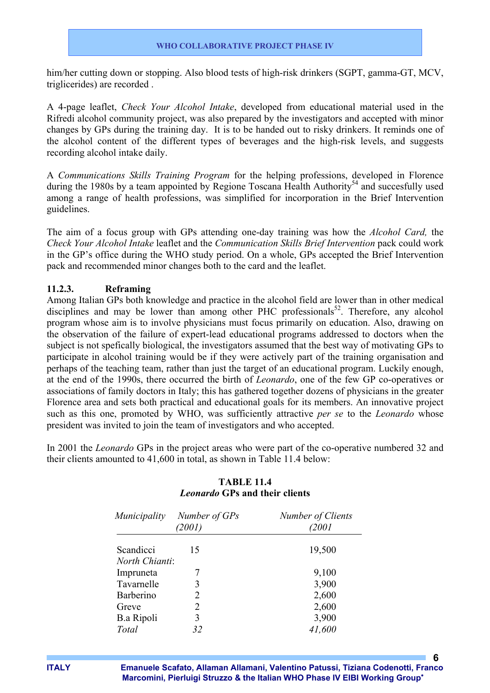him/her cutting down or stopping. Also blood tests of high-risk drinkers (SGPT, gamma-GT, MCV, triglicerides) are recorded .

A 4-page leaflet, *Check Your Alcohol Intake*, developed from educational material used in the Rifredi alcohol community project, was also prepared by the investigators and accepted with minor changes by GPs during the training day. It is to be handed out to risky drinkers. It reminds one of the alcohol content of the different types of beverages and the high-risk levels, and suggests recording alcohol intake daily.

A *Communications Skills Training Program* for the helping professions, developed in Florence during the 1980s by a team appointed by Regione Toscana Health Authority<sup>54</sup> and succesfully used among a range of health professions, was simplified for incorporation in the Brief Intervention guidelines.

The aim of a focus group with GPs attending one-day training was how the *Alcohol Card,* the *Check Your Alcohol Intake* leaflet and the *Communication Skills Brief Intervention* pack could work in the GP's office during the WHO study period. On a whole, GPs accepted the Brief Intervention pack and recommended minor changes both to the card and the leaflet.

### **11.2.3. Reframing**

Among Italian GPs both knowledge and practice in the alcohol field are lower than in other medical disciplines and may be lower than among other PHC professionals<sup>52</sup>. Therefore, any alcohol program whose aim is to involve physicians must focus primarily on education. Also, drawing on the observation of the failure of expert-lead educational programs addressed to doctors when the subject is not spefically biological, the investigators assumed that the best way of motivating GPs to participate in alcohol training would be if they were actively part of the training organisation and perhaps of the teaching team, rather than just the target of an educational program. Luckily enough, at the end of the 1990s, there occurred the birth of *Leonardo*, one of the few GP co-operatives or associations of family doctors in Italy; this has gathered together dozens of physicians in the greater Florence area and sets both practical and educational goals for its members. An innovative project such as this one, promoted by WHO, was sufficiently attractive *per se* to the *Leonardo* whose president was invited to join the team of investigators and who accepted.

In 2001 the *Leonardo* GPs in the project areas who were part of the co-operative numbered 32 and their clients amounted to 41,600 in total, as shown in Table 11.4 below:

| <i>Municipality</i> | Number of GPs<br>(2001) | Number of Clients<br>2001 |
|---------------------|-------------------------|---------------------------|
| Scandicci           | 15                      | 19,500                    |
| North Chianti:      |                         |                           |
| Impruneta           |                         | 9,100                     |
| Tavarnelle          | 3                       | 3,900                     |
| Barberino           | 2                       | 2,600                     |
| Greve               | 2                       | 2,600                     |
| <b>B.a Ripoli</b>   | 3                       | 3,900                     |
| Total               | 32                      | 41,600                    |

# **TABLE 11.4**  *Leonardo* **GPs and their clients**

**ITALY Emanuele Scafato, Allaman Allamani, Valentino Patussi, Tiziana Codenotti, Franco Marcomini, Pierluigi Struzzo & the Italian WHO Phase IV EIBI Working Group**<sup>∗</sup>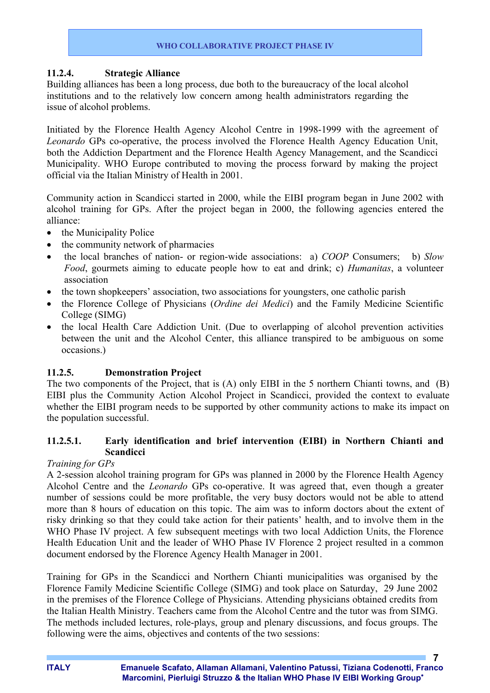### **11.2.4. Strategic Alliance**

Building alliances has been a long process, due both to the bureaucracy of the local alcohol institutions and to the relatively low concern among health administrators regarding the issue of alcohol problems.

Initiated by the Florence Health Agency Alcohol Centre in 1998-1999 with the agreement of *Leonardo* GPs co-operative, the process involved the Florence Health Agency Education Unit, both the Addiction Department and the Florence Health Agency Management, and the Scandicci Municipality. WHO Europe contributed to moving the process forward by making the project official via the Italian Ministry of Health in 2001.

Community action in Scandicci started in 2000, while the EIBI program began in June 2002 with alcohol training for GPs. After the project began in 2000, the following agencies entered the alliance:

- the Municipality Police
- the community network of pharmacies
- the local branches of nation- or region-wide associations: a) *COOP* Consumers; b) *Slow Food*, gourmets aiming to educate people how to eat and drink; c) *Humanitas*, a volunteer association
- the town shopkeepers' association, two associations for youngsters, one catholic parish
- the Florence College of Physicians (*Ordine dei Medici*) and the Family Medicine Scientific College (SIMG)
- the local Health Care Addiction Unit. (Due to overlapping of alcohol prevention activities between the unit and the Alcohol Center, this alliance transpired to be ambiguous on some occasions.)

# **11.2.5. Demonstration Project**

The two components of the Project, that is (A) only EIBI in the 5 northern Chianti towns, and (B) EIBI plus the Community Action Alcohol Project in Scandicci, provided the context to evaluate whether the EIBI program needs to be supported by other community actions to make its impact on the population successful.

# **11.2.5.1. Early identification and brief intervention (EIBI) in Northern Chianti and Scandicci**

#### *Training for GPs*

A 2-session alcohol training program for GPs was planned in 2000 by the Florence Health Agency Alcohol Centre and the *Leonardo* GPs co-operative. It was agreed that, even though a greater number of sessions could be more profitable, the very busy doctors would not be able to attend more than 8 hours of education on this topic. The aim was to inform doctors about the extent of risky drinking so that they could take action for their patients' health, and to involve them in the WHO Phase IV project. A few subsequent meetings with two local Addiction Units, the Florence Health Education Unit and the leader of WHO Phase IV Florence 2 project resulted in a common document endorsed by the Florence Agency Health Manager in 2001.

Training for GPs in the Scandicci and Northern Chianti municipalities was organised by the Florence Family Medicine Scientific College (SIMG) and took place on Saturday, 29 June 2002 in the premises of the Florence College of Physicians. Attending physicians obtained credits from the Italian Health Ministry. Teachers came from the Alcohol Centre and the tutor was from SIMG. The methods included lectures, role-plays, group and plenary discussions, and focus groups. The following were the aims, objectives and contents of the two sessions: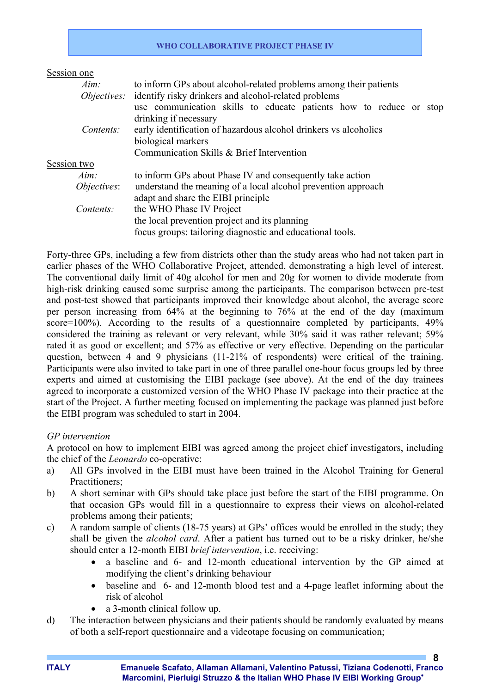| Session one                               |                                                                         |  |  |  |  |  |  |
|-------------------------------------------|-------------------------------------------------------------------------|--|--|--|--|--|--|
| $Aim$ :                                   | to inform GPs about alcohol-related problems among their patients       |  |  |  |  |  |  |
|                                           | <i>Objectives:</i> identify risky drinkers and alcohol-related problems |  |  |  |  |  |  |
|                                           | use communication skills to educate patients how to reduce or stop      |  |  |  |  |  |  |
|                                           | drinking if necessary                                                   |  |  |  |  |  |  |
| Contents:                                 | early identification of hazardous alcohol drinkers vs alcoholics        |  |  |  |  |  |  |
|                                           | biological markers                                                      |  |  |  |  |  |  |
| Communication Skills & Brief Intervention |                                                                         |  |  |  |  |  |  |
| Session two                               |                                                                         |  |  |  |  |  |  |
| $Aim$ :                                   | to inform GPs about Phase IV and consequently take action               |  |  |  |  |  |  |
| <i>Objectives:</i>                        | understand the meaning of a local alcohol prevention approach           |  |  |  |  |  |  |
|                                           | adapt and share the EIBI principle                                      |  |  |  |  |  |  |
| Contents:                                 | the WHO Phase IV Project                                                |  |  |  |  |  |  |
|                                           | the local prevention project and its planning                           |  |  |  |  |  |  |
|                                           | focus groups: tailoring diagnostic and educational tools.               |  |  |  |  |  |  |

Forty-three GPs, including a few from districts other than the study areas who had not taken part in earlier phases of the WHO Collaborative Project, attended, demonstrating a high level of interest. The conventional daily limit of 40g alcohol for men and 20g for women to divide moderate from high-risk drinking caused some surprise among the participants. The comparison between pre-test and post-test showed that participants improved their knowledge about alcohol, the average score per person increasing from 64% at the beginning to 76% at the end of the day (maximum score=100%). According to the results of a questionnaire completed by participants, 49% considered the training as relevant or very relevant, while 30% said it was rather relevant; 59% rated it as good or excellent; and 57% as effective or very effective. Depending on the particular question, between 4 and 9 physicians (11-21% of respondents) were critical of the training. Participants were also invited to take part in one of three parallel one-hour focus groups led by three experts and aimed at customising the EIBI package (see above). At the end of the day trainees agreed to incorporate a customized version of the WHO Phase IV package into their practice at the start of the Project. A further meeting focused on implementing the package was planned just before the EIBI program was scheduled to start in 2004.

# *GP intervention*

A protocol on how to implement EIBI was agreed among the project chief investigators, including the chief of the *Leonardo* co-operative:

- a) All GPs involved in the EIBI must have been trained in the Alcohol Training for General Practitioners;
- b) A short seminar with GPs should take place just before the start of the EIBI programme. On that occasion GPs would fill in a questionnaire to express their views on alcohol-related problems among their patients;
- c) A random sample of clients (18-75 years) at GPs' offices would be enrolled in the study; they shall be given the *alcohol card*. After a patient has turned out to be a risky drinker, he/she should enter a 12-month EIBI *brief intervention*, i.e. receiving:
	- a baseline and 6- and 12-month educational intervention by the GP aimed at modifying the client's drinking behaviour
	- baseline and 6- and 12-month blood test and a 4-page leaflet informing about the risk of alcohol
	- a 3-month clinical follow up.
- d) The interaction between physicians and their patients should be randomly evaluated by means of both a self-report questionnaire and a videotape focusing on communication;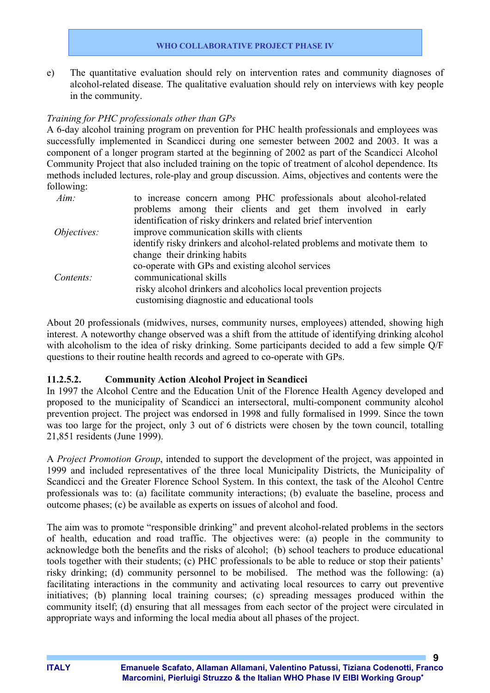e) The quantitative evaluation should rely on intervention rates and community diagnoses of alcohol-related disease. The qualitative evaluation should rely on interviews with key people in the community.

### *Training for PHC professionals other than GPs*

A 6-day alcohol training program on prevention for PHC health professionals and employees was successfully implemented in Scandicci during one semester between 2002 and 2003. It was a component of a longer program started at the beginning of 2002 as part of the Scandicci Alcohol Community Project that also included training on the topic of treatment of alcohol dependence. Its methods included lectures, role-play and group discussion. Aims, objectives and contents were the following:

| $Aim$ :            | to increase concern among PHC professionals about alcohol-related         |
|--------------------|---------------------------------------------------------------------------|
|                    | problems among their clients and get them involved in early               |
|                    | identification of risky drinkers and related brief intervention           |
| <i>Objectives:</i> | improve communication skills with clients                                 |
|                    | identify risky drinkers and alcohol-related problems and motivate them to |
|                    | change their drinking habits                                              |
|                    | co-operate with GPs and existing alcohol services                         |
| Contents:          | communicational skills                                                    |
|                    | risky alcohol drinkers and alcoholics local prevention projects           |
|                    | customising diagnostic and educational tools                              |
|                    |                                                                           |

About 20 professionals (midwives, nurses, community nurses, employees) attended, showing high interest. A noteworthy change observed was a shift from the attitude of identifying drinking alcohol with alcoholism to the idea of risky drinking. Some participants decided to add a few simple Q/F questions to their routine health records and agreed to co-operate with GPs.

#### **11.2.5.2. Community Action Alcohol Project in Scandicci**

In 1997 the Alcohol Centre and the Education Unit of the Florence Health Agency developed and proposed to the municipality of Scandicci an intersectoral, multi-component community alcohol prevention project. The project was endorsed in 1998 and fully formalised in 1999. Since the town was too large for the project, only 3 out of 6 districts were chosen by the town council, totalling 21,851 residents (June 1999).

A *Project Promotion Group*, intended to support the development of the project, was appointed in 1999 and included representatives of the three local Municipality Districts, the Municipality of Scandicci and the Greater Florence School System. In this context, the task of the Alcohol Centre professionals was to: (a) facilitate community interactions; (b) evaluate the baseline, process and outcome phases; (c) be available as experts on issues of alcohol and food.

The aim was to promote "responsible drinking" and prevent alcohol-related problems in the sectors of health, education and road traffic. The objectives were: (a) people in the community to acknowledge both the benefits and the risks of alcohol; (b) school teachers to produce educational tools together with their students; (c) PHC professionals to be able to reduce or stop their patients' risky drinking; (d) community personnel to be mobilised. The method was the following: (a) facilitating interactions in the community and activating local resources to carry out preventive initiatives; (b) planning local training courses; (c) spreading messages produced within the community itself; (d) ensuring that all messages from each sector of the project were circulated in appropriate ways and informing the local media about all phases of the project.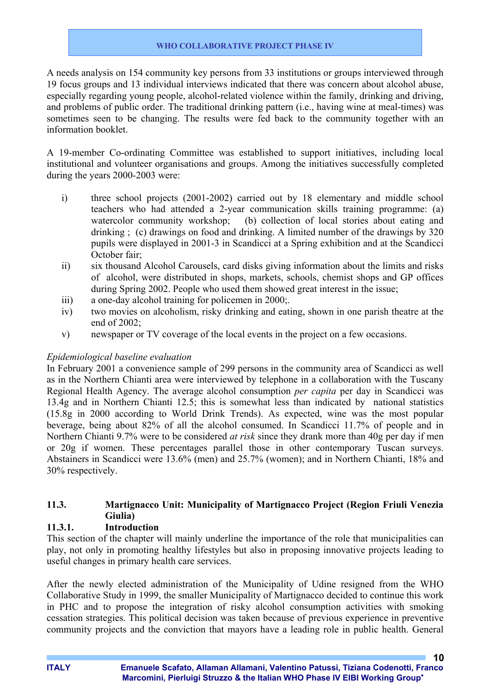A needs analysis on 154 community key persons from 33 institutions or groups interviewed through 19 focus groups and 13 individual interviews indicated that there was concern about alcohol abuse, especially regarding young people, alcohol-related violence within the family, drinking and driving, and problems of public order. The traditional drinking pattern (i.e., having wine at meal-times) was sometimes seen to be changing. The results were fed back to the community together with an information booklet.

A 19-member Co-ordinating Committee was established to support initiatives, including local institutional and volunteer organisations and groups. Among the initiatives successfully completed during the years 2000-2003 were:

- i) three school projects (2001-2002) carried out by 18 elementary and middle school teachers who had attended a 2-year communication skills training programme: (a) watercolor community workshop; (b) collection of local stories about eating and drinking ; (c) drawings on food and drinking. A limited number of the drawings by 320 pupils were displayed in 2001-3 in Scandicci at a Spring exhibition and at the Scandicci October fair;
- ii) six thousand Alcohol Carousels, card disks giving information about the limits and risks of alcohol, were distributed in shops, markets, schools, chemist shops and GP offices during Spring 2002. People who used them showed great interest in the issue;
- iii) a one-day alcohol training for policemen in 2000;.
- iv) two movies on alcoholism, risky drinking and eating, shown in one parish theatre at the end of 2002;
- v) newspaper or TV coverage of the local events in the project on a few occasions.

# *Epidemiological baseline evaluation*

In February 2001 a convenience sample of 299 persons in the community area of Scandicci as well as in the Northern Chianti area were interviewed by telephone in a collaboration with the Tuscany Regional Health Agency. The average alcohol consumption *per capita* per day in Scandicci was 13.4g and in Northern Chianti 12.5; this is somewhat less than indicated by national statistics (15.8g in 2000 according to World Drink Trends). As expected, wine was the most popular beverage, being about 82% of all the alcohol consumed. In Scandicci 11.7% of people and in Northern Chianti 9.7% were to be considered *at risk* since they drank more than 40g per day if men or 20g if women. These percentages parallel those in other contemporary Tuscan surveys. Abstainers in Scandicci were 13.6% (men) and 25.7% (women); and in Northern Chianti, 18% and 30% respectively.

# **11.3. Martignacco Unit: Municipality of Martignacco Project (Region Friuli Venezia Giulia)**

# **11.3.1. Introduction**

This section of the chapter will mainly underline the importance of the role that municipalities can play, not only in promoting healthy lifestyles but also in proposing innovative projects leading to useful changes in primary health care services.

After the newly elected administration of the Municipality of Udine resigned from the WHO Collaborative Study in 1999, the smaller Municipality of Martignacco decided to continue this work in PHC and to propose the integration of risky alcohol consumption activities with smoking cessation strategies. This political decision was taken because of previous experience in preventive community projects and the conviction that mayors have a leading role in public health. General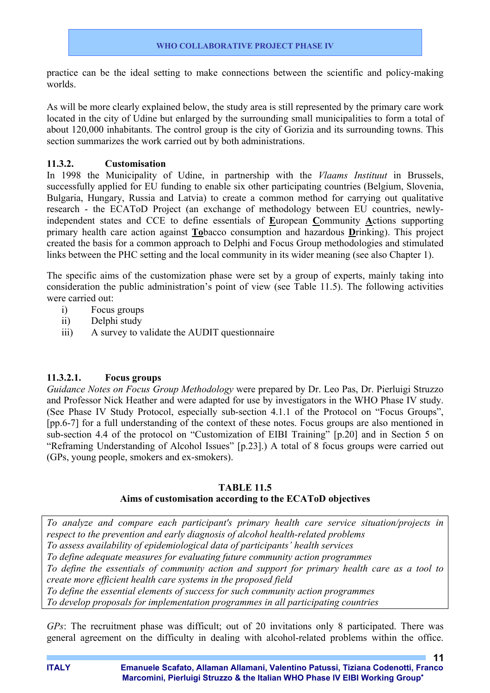practice can be the ideal setting to make connections between the scientific and policy-making worlds.

As will be more clearly explained below, the study area is still represented by the primary care work located in the city of Udine but enlarged by the surrounding small municipalities to form a total of about 120,000 inhabitants. The control group is the city of Gorizia and its surrounding towns. This section summarizes the work carried out by both administrations.

### **11.3.2. Customisation**

In 1998 the Municipality of Udine, in partnership with the *Vlaams Instituut* in Brussels, successfully applied for EU funding to enable six other participating countries (Belgium, Slovenia, Bulgaria, Hungary, Russia and Latvia) to create a common method for carrying out qualitative research - the ECAToD Project (an exchange of methodology between EU countries, newlyindependent states and CCE to define essentials of **E**uropean **C**ommunity **A**ctions supporting primary health care action against **To**bacco consumption and hazardous **D**rinking). This project created the basis for a common approach to Delphi and Focus Group methodologies and stimulated links between the PHC setting and the local community in its wider meaning (see also Chapter 1).

The specific aims of the customization phase were set by a group of experts, mainly taking into consideration the public administration's point of view (see Table 11.5). The following activities were carried out:

- i) Focus groups
- ii) Delphi study
- iii) A survey to validate the AUDIT questionnaire

# **11.3.2.1. Focus groups**

*Guidance Notes on Focus Group Methodology* were prepared by Dr. Leo Pas, Dr. Pierluigi Struzzo and Professor Nick Heather and were adapted for use by investigators in the WHO Phase IV study. (See Phase IV Study Protocol, especially sub-section 4.1.1 of the Protocol on "Focus Groups", [pp.6-7] for a full understanding of the context of these notes. Focus groups are also mentioned in sub-section 4.4 of the protocol on "Customization of EIBI Training" [p.20] and in Section 5 on "Reframing Understanding of Alcohol Issues" [p.23].) A total of 8 focus groups were carried out (GPs, young people, smokers and ex-smokers).

# **TABLE 11.5**

#### **Aims of customisation according to the ECAToD objectives**

*To analyze and compare each participant's primary health care service situation/projects in respect to the prevention and early diagnosis of alcohol health-related problems To assess availability of epidemiological data of participants' health services To define adequate measures for evaluating future community action programmes To define the essentials of community action and support for primary health care as a tool to create more efficient health care systems in the proposed field To define the essential elements of success for such community action programmes To develop proposals for implementation programmes in all participating countries*

*GPs*: The recruitment phase was difficult; out of 20 invitations only 8 participated. There was general agreement on the difficulty in dealing with alcohol-related problems within the office.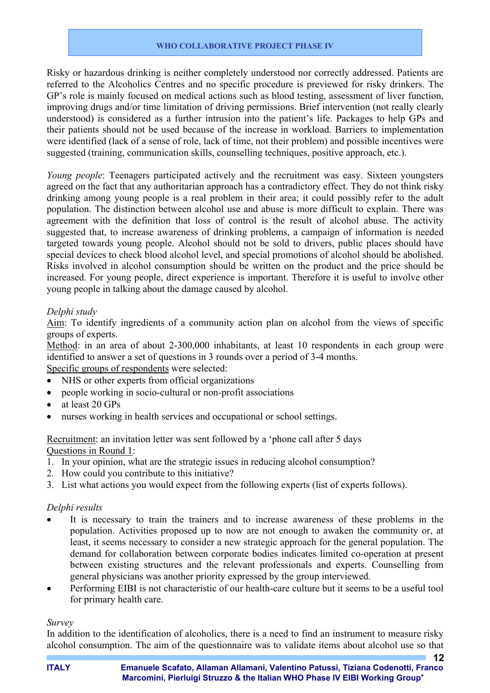Risky or hazardous drinking is neither completely understood nor correctly addressed. Patients are referred to the Alcoholics Centres and no specific procedure is previewed for risky drinkers. The GP's role is mainly focused on medical actions such as blood testing, assessment of liver function, improving drugs and/or time limitation of driving permissions. Brief intervention (not really clearly understood) is considered as a further intrusion into the patient's life. Packages to help GPs and their patients should not be used because of the increase in workload. Barriers to implementation were identified (lack of a sense of role, lack of time, not their problem) and possible incentives were suggested (training, communication skills, counselling techniques, positive approach, etc.).

*Young people*: Teenagers participated actively and the recruitment was easy. Sixteen youngsters agreed on the fact that any authoritarian approach has a contradictory effect. They do not think risky drinking among young people is a real problem in their area; it could possibly refer to the adult population. The distinction between alcohol use and abuse is more difficult to explain. There was agreement with the definition that loss of control is the result of alcohol abuse. The activity suggested that, to increase awareness of drinking problems, a campaign of information is needed targeted towards young people. Alcohol should not be sold to drivers, public places should have special devices to check blood alcohol level, and special promotions of alcohol should be abolished. Risks involved in alcohol consumption should be written on the product and the price should be increased. For young people, direct experience is important. Therefore it is useful to involve other young people in talking about the damage caused by alcohol.

### *Delphi study*

Aim: To identify ingredients of a community action plan on alcohol from the views of specific groups of experts.

Method: in an area of about 2-300,000 inhabitants, at least 10 respondents in each group were identified to answer a set of questions in 3 rounds over a period of 3-4 months.

Specific groups of respondents were selected:

- NHS or other experts from official organizations
- people working in socio-cultural or non-profit associations
- at least 20 GPs
- nurses working in health services and occupational or school settings.

Recruitment: an invitation letter was sent followed by a 'phone call after 5 days Questions in Round 1:

- 1. In your opinion, what are the strategic issues in reducing alcohol consumption?
- 2. How could you contribute to this initiative?
- 3. List what actions you would expect from the following experts (list of experts follows).

#### *Delphi results*

- It is necessary to train the trainers and to increase awareness of these problems in the population. Activities proposed up to now are not enough to awaken the community or, at least, it seems necessary to consider a new strategic approach for the general population. The demand for collaboration between corporate bodies indicates limited co-operation at present between existing structures and the relevant professionals and experts. Counselling from general physicians was another priority expressed by the group interviewed.
- Performing EIBI is not characteristic of our health-care culture but it seems to be a useful tool for primary health care.

#### *Survey*

In addition to the identification of alcoholics, there is a need to find an instrument to measure risky alcohol consumption. The aim of the questionnaire was to validate items about alcohol use so that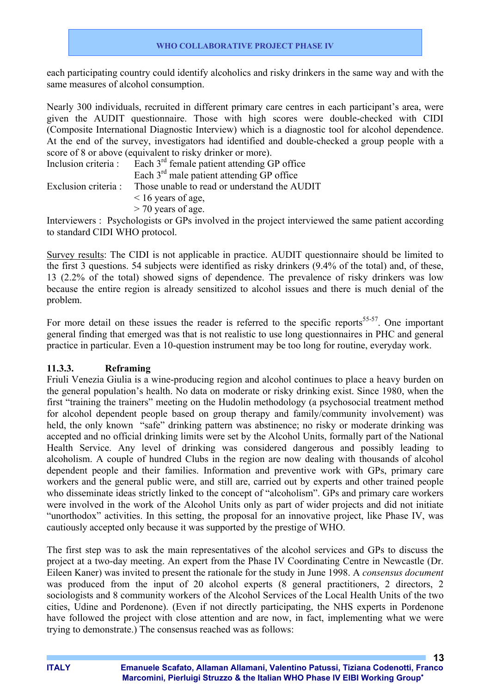each participating country could identify alcoholics and risky drinkers in the same way and with the same measures of alcohol consumption.

Nearly 300 individuals, recruited in different primary care centres in each participant's area, were given the AUDIT questionnaire. Those with high scores were double-checked with CIDI (Composite International Diagnostic Interview) which is a diagnostic tool for alcohol dependence. At the end of the survey, investigators had identified and double-checked a group people with a score of 8 or above (equivalent to risky drinker or more).

| Inclusion criteria : | Each 3 <sup>rd</sup> female patient attending GP office |
|----------------------|---------------------------------------------------------|
|                      | Each $3rd$ male patient attending GP office             |
| Exclusion criteria : | Those unable to read or understand the AUDIT            |
|                      | $\leq$ 16 years of age,                                 |
|                      | $>$ 70 years of age.                                    |

Interviewers : Psychologists or GPs involved in the project interviewed the same patient according to standard CIDI WHO protocol.

Survey results: The CIDI is not applicable in practice. AUDIT questionnaire should be limited to the first 3 questions. 54 subjects were identified as risky drinkers (9.4% of the total) and, of these, 13 (2.2% of the total) showed signs of dependence. The prevalence of risky drinkers was low because the entire region is already sensitized to alcohol issues and there is much denial of the problem.

For more detail on these issues the reader is referred to the specific reports<sup>55-57</sup>. One important general finding that emerged was that is not realistic to use long questionnaires in PHC and general practice in particular. Even a 10-question instrument may be too long for routine, everyday work.

# **11.3.3. Reframing**

Friuli Venezia Giulia is a wine-producing region and alcohol continues to place a heavy burden on the general population's health. No data on moderate or risky drinking exist. Since 1980, when the first "training the trainers" meeting on the Hudolin methodology (a psychosocial treatment method for alcohol dependent people based on group therapy and family/community involvement) was held, the only known "safe" drinking pattern was abstinence; no risky or moderate drinking was accepted and no official drinking limits were set by the Alcohol Units, formally part of the National Health Service. Any level of drinking was considered dangerous and possibly leading to alcoholism. A couple of hundred Clubs in the region are now dealing with thousands of alcohol dependent people and their families. Information and preventive work with GPs, primary care workers and the general public were, and still are, carried out by experts and other trained people who disseminate ideas strictly linked to the concept of "alcoholism". GPs and primary care workers were involved in the work of the Alcohol Units only as part of wider projects and did not initiate "unorthodox" activities. In this setting, the proposal for an innovative project, like Phase IV, was cautiously accepted only because it was supported by the prestige of WHO.

The first step was to ask the main representatives of the alcohol services and GPs to discuss the project at a two-day meeting. An expert from the Phase IV Coordinating Centre in Newcastle (Dr. Eileen Kaner) was invited to present the rationale for the study in June 1998. A *consensus document* was produced from the input of 20 alcohol experts (8 general practitioners, 2 directors, 2 sociologists and 8 community workers of the Alcohol Services of the Local Health Units of the two cities, Udine and Pordenone). (Even if not directly participating, the NHS experts in Pordenone have followed the project with close attention and are now, in fact, implementing what we were trying to demonstrate.) The consensus reached was as follows: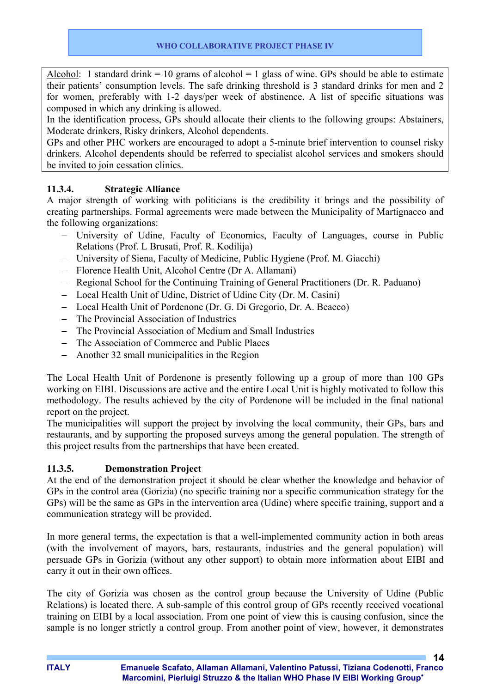Alcohol: 1 standard drink = 10 grams of alcohol = 1 glass of wine. GPs should be able to estimate their patients' consumption levels. The safe drinking threshold is 3 standard drinks for men and 2 for women, preferably with 1-2 days/per week of abstinence. A list of specific situations was composed in which any drinking is allowed.

In the identification process, GPs should allocate their clients to the following groups: Abstainers, Moderate drinkers, Risky drinkers, Alcohol dependents.

GPs and other PHC workers are encouraged to adopt a 5-minute brief intervention to counsel risky drinkers. Alcohol dependents should be referred to specialist alcohol services and smokers should be invited to join cessation clinics.

# **11.3.4. Strategic Alliance**

A major strength of working with politicians is the credibility it brings and the possibility of creating partnerships. Formal agreements were made between the Municipality of Martignacco and the following organizations:

- − University of Udine, Faculty of Economics, Faculty of Languages, course in Public Relations (Prof. L Brusati, Prof. R. Kodilija)
- − University of Siena, Faculty of Medicine, Public Hygiene (Prof. M. Giacchi)
- − Florence Health Unit, Alcohol Centre (Dr A. Allamani)
- − Regional School for the Continuing Training of General Practitioners (Dr. R. Paduano)
- − Local Health Unit of Udine, District of Udine City (Dr. M. Casini)
- − Local Health Unit of Pordenone (Dr. G. Di Gregorio, Dr. A. Beacco)
- The Provincial Association of Industries
- − The Provincial Association of Medium and Small Industries
- − The Association of Commerce and Public Places
- − Another 32 small municipalities in the Region

The Local Health Unit of Pordenone is presently following up a group of more than 100 GPs working on EIBI. Discussions are active and the entire Local Unit is highly motivated to follow this methodology. The results achieved by the city of Pordenone will be included in the final national report on the project.

The municipalities will support the project by involving the local community, their GPs, bars and restaurants, and by supporting the proposed surveys among the general population. The strength of this project results from the partnerships that have been created.

# **11.3.5. Demonstration Project**

At the end of the demonstration project it should be clear whether the knowledge and behavior of GPs in the control area (Gorizia) (no specific training nor a specific communication strategy for the GPs) will be the same as GPs in the intervention area (Udine) where specific training, support and a communication strategy will be provided.

In more general terms, the expectation is that a well-implemented community action in both areas (with the involvement of mayors, bars, restaurants, industries and the general population) will persuade GPs in Gorizia (without any other support) to obtain more information about EIBI and carry it out in their own offices.

The city of Gorizia was chosen as the control group because the University of Udine (Public Relations) is located there. A sub-sample of this control group of GPs recently received vocational training on EIBI by a local association. From one point of view this is causing confusion, since the sample is no longer strictly a control group. From another point of view, however, it demonstrates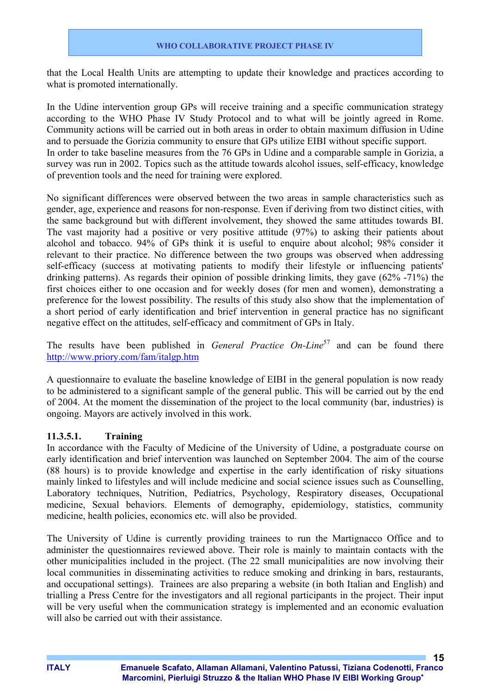that the Local Health Units are attempting to update their knowledge and practices according to what is promoted internationally.

In the Udine intervention group GPs will receive training and a specific communication strategy according to the WHO Phase IV Study Protocol and to what will be jointly agreed in Rome. Community actions will be carried out in both areas in order to obtain maximum diffusion in Udine and to persuade the Gorizia community to ensure that GPs utilize EIBI without specific support. In order to take baseline measures from the 76 GPs in Udine and a comparable sample in Gorizia, a survey was run in 2002. Topics such as the attitude towards alcohol issues, self-efficacy, knowledge of prevention tools and the need for training were explored.

No significant differences were observed between the two areas in sample characteristics such as gender, age, experience and reasons for non-response. Even if deriving from two distinct cities, with the same background but with different involvement, they showed the same attitudes towards BI. The vast majority had a positive or very positive attitude (97%) to asking their patients about alcohol and tobacco. 94% of GPs think it is useful to enquire about alcohol; 98% consider it relevant to their practice. No difference between the two groups was observed when addressing self-efficacy (success at motivating patients to modify their lifestyle or influencing patients' drinking patterns). As regards their opinion of possible drinking limits, they gave (62% -71%) the first choices either to one occasion and for weekly doses (for men and women), demonstrating a preference for the lowest possibility. The results of this study also show that the implementation of a short period of early identification and brief intervention in general practice has no significant negative effect on the attitudes, self-efficacy and commitment of GPs in Italy.

The results have been published in *General Practice On-Line*<sup>57</sup> and can be found there http://www.priory.com/fam/italgp.htm

A questionnaire to evaluate the baseline knowledge of EIBI in the general population is now ready to be administered to a significant sample of the general public. This will be carried out by the end of 2004. At the moment the dissemination of the project to the local community (bar, industries) is ongoing. Mayors are actively involved in this work.

#### **11.3.5.1. Training**

In accordance with the Faculty of Medicine of the University of Udine, a postgraduate course on early identification and brief intervention was launched on September 2004. The aim of the course (88 hours) is to provide knowledge and expertise in the early identification of risky situations mainly linked to lifestyles and will include medicine and social science issues such as Counselling, Laboratory techniques, Nutrition, Pediatrics, Psychology, Respiratory diseases, Occupational medicine, Sexual behaviors. Elements of demography, epidemiology, statistics, community medicine, health policies, economics etc. will also be provided.

The University of Udine is currently providing trainees to run the Martignacco Office and to administer the questionnaires reviewed above. Their role is mainly to maintain contacts with the other municipalities included in the project. (The 22 small municipalities are now involving their local communities in disseminating activities to reduce smoking and drinking in bars, restaurants, and occupational settings). Trainees are also preparing a website (in both Italian and English) and trialling a Press Centre for the investigators and all regional participants in the project. Their input will be very useful when the communication strategy is implemented and an economic evaluation will also be carried out with their assistance.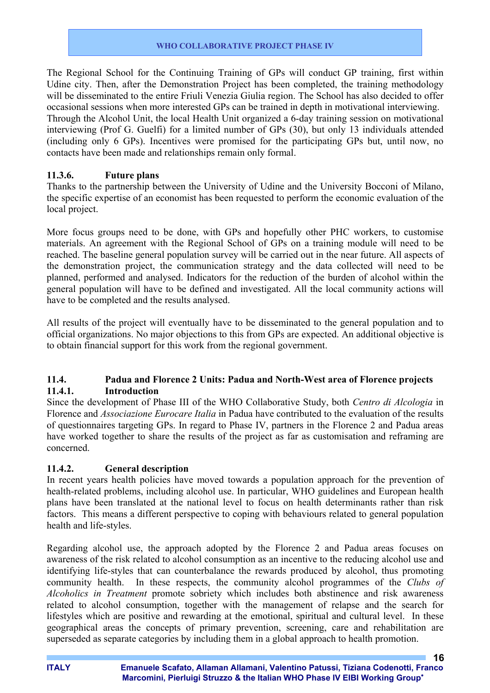The Regional School for the Continuing Training of GPs will conduct GP training, first within Udine city. Then, after the Demonstration Project has been completed, the training methodology will be disseminated to the entire Friuli Venezia Giulia region. The School has also decided to offer occasional sessions when more interested GPs can be trained in depth in motivational interviewing. Through the Alcohol Unit, the local Health Unit organized a 6-day training session on motivational interviewing (Prof G. Guelfi) for a limited number of GPs (30), but only 13 individuals attended (including only 6 GPs). Incentives were promised for the participating GPs but, until now, no contacts have been made and relationships remain only formal.

# **11.3.6. Future plans**

Thanks to the partnership between the University of Udine and the University Bocconi of Milano, the specific expertise of an economist has been requested to perform the economic evaluation of the local project.

More focus groups need to be done, with GPs and hopefully other PHC workers, to customise materials. An agreement with the Regional School of GPs on a training module will need to be reached. The baseline general population survey will be carried out in the near future. All aspects of the demonstration project, the communication strategy and the data collected will need to be planned, performed and analysed. Indicators for the reduction of the burden of alcohol within the general population will have to be defined and investigated. All the local community actions will have to be completed and the results analysed.

All results of the project will eventually have to be disseminated to the general population and to official organizations. No major objections to this from GPs are expected. An additional objective is to obtain financial support for this work from the regional government.

# **11.4. Padua and Florence 2 Units: Padua and North-West area of Florence projects 11.4.1. Introduction**

Since the development of Phase III of the WHO Collaborative Study, both *Centro di Alcologia* in Florence and *Associazione Eurocare Italia* in Padua have contributed to the evaluation of the results of questionnaires targeting GPs. In regard to Phase IV, partners in the Florence 2 and Padua areas have worked together to share the results of the project as far as customisation and reframing are concerned.

# **11.4.2. General description**

In recent years health policies have moved towards a population approach for the prevention of health-related problems, including alcohol use. In particular, WHO guidelines and European health plans have been translated at the national level to focus on health determinants rather than risk factors. This means a different perspective to coping with behaviours related to general population health and life-styles.

Regarding alcohol use, the approach adopted by the Florence 2 and Padua areas focuses on awareness of the risk related to alcohol consumption as an incentive to the reducing alcohol use and identifying life-styles that can counterbalance the rewards produced by alcohol, thus promoting community health. In these respects, the community alcohol programmes of the *Clubs of Alcoholics in Treatment* promote sobriety which includes both abstinence and risk awareness related to alcohol consumption, together with the management of relapse and the search for lifestyles which are positive and rewarding at the emotional, spiritual and cultural level. In these geographical areas the concepts of primary prevention, screening, care and rehabilitation are superseded as separate categories by including them in a global approach to health promotion.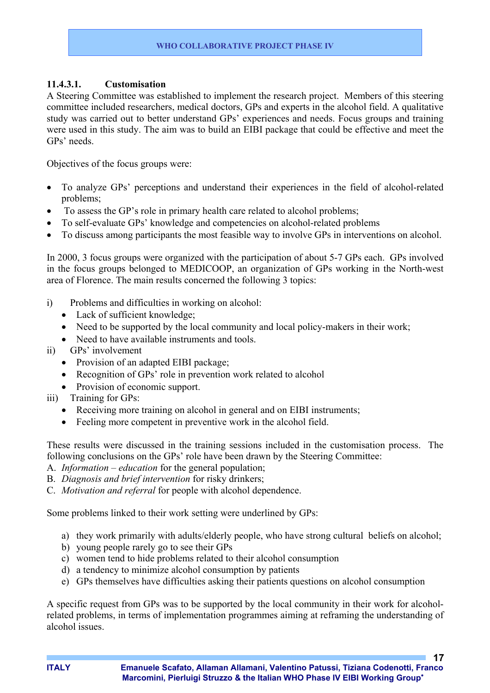### **11.4.3.1. Customisation**

A Steering Committee was established to implement the research project. Members of this steering committee included researchers, medical doctors, GPs and experts in the alcohol field. A qualitative study was carried out to better understand GPs' experiences and needs. Focus groups and training were used in this study. The aim was to build an EIBI package that could be effective and meet the GPs' needs.

Objectives of the focus groups were:

- To analyze GPs' perceptions and understand their experiences in the field of alcohol-related problems;
- To assess the GP's role in primary health care related to alcohol problems;
- To self-evaluate GPs' knowledge and competencies on alcohol-related problems
- To discuss among participants the most feasible way to involve GPs in interventions on alcohol.

In 2000, 3 focus groups were organized with the participation of about 5-7 GPs each. GPs involved in the focus groups belonged to MEDICOOP, an organization of GPs working in the North-west area of Florence. The main results concerned the following 3 topics:

- i) Problems and difficulties in working on alcohol:
	- Lack of sufficient knowledge;
	- Need to be supported by the local community and local policy-makers in their work;
	- Need to have available instruments and tools.
- ii) GPs' involvement
	- Provision of an adapted EIBI package;
	- Recognition of GPs' role in prevention work related to alcohol
	- Provision of economic support.
- iii) Training for GPs:
	- Receiving more training on alcohol in general and on EIBI instruments;
	- Feeling more competent in preventive work in the alcohol field.

These results were discussed in the training sessions included in the customisation process. The following conclusions on the GPs' role have been drawn by the Steering Committee:

- A. *Information education* for the general population;
- B. *Diagnosis and brief intervention* for risky drinkers;
- C. *Motivation and referral* for people with alcohol dependence.

Some problems linked to their work setting were underlined by GPs:

- a) they work primarily with adults/elderly people, who have strong cultural beliefs on alcohol;
- b) young people rarely go to see their GPs
- c) women tend to hide problems related to their alcohol consumption
- d) a tendency to minimize alcohol consumption by patients
- e) GPs themselves have difficulties asking their patients questions on alcohol consumption

A specific request from GPs was to be supported by the local community in their work for alcoholrelated problems, in terms of implementation programmes aiming at reframing the understanding of alcohol issues.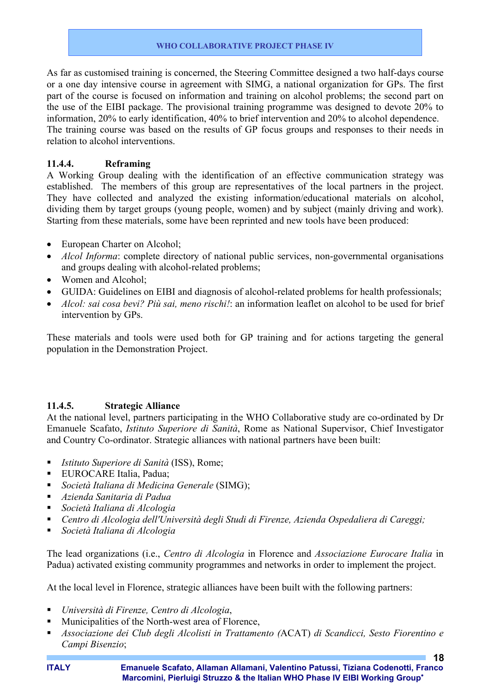As far as customised training is concerned, the Steering Committee designed a two half-days course or a one day intensive course in agreement with SIMG, a national organization for GPs. The first part of the course is focused on information and training on alcohol problems; the second part on the use of the EIBI package. The provisional training programme was designed to devote 20% to information, 20% to early identification, 40% to brief intervention and 20% to alcohol dependence. The training course was based on the results of GP focus groups and responses to their needs in relation to alcohol interventions.

### **11.4.4. Reframing**

A Working Group dealing with the identification of an effective communication strategy was established. The members of this group are representatives of the local partners in the project. They have collected and analyzed the existing information/educational materials on alcohol, dividing them by target groups (young people, women) and by subject (mainly driving and work). Starting from these materials, some have been reprinted and new tools have been produced:

- European Charter on Alcohol;
- *Alcol Informa*: complete directory of national public services, non-governmental organisations and groups dealing with alcohol-related problems;
- Women and Alcohol:
- GUIDA: Guidelines on EIBI and diagnosis of alcohol-related problems for health professionals;
- *Alcol: sai cosa bevi? Più sai, meno rischi!*: an information leaflet on alcohol to be used for brief intervention by GPs.

These materials and tools were used both for GP training and for actions targeting the general population in the Demonstration Project.

#### **11.4.5. Strategic Alliance**

At the national level, partners participating in the WHO Collaborative study are co-ordinated by Dr Emanuele Scafato, *Istituto Superiore di Sanità*, Rome as National Supervisor, Chief Investigator and Country Co-ordinator. Strategic alliances with national partners have been built:

- *Istituto Superiore di Sanità* (ISS), Rome;
- **EUROCARE Italia, Padua:**
- *Società Italiana di Medicina Generale* (SIMG);
- *Azienda Sanitaria di Padua*
- *Società Italiana di Alcologia*
- *Centro di Alcologia dell'Università degli Studi di Firenze, Azienda Ospedaliera di Careggi;*
- *Società Italiana di Alcologia*

The lead organizations (i.e., *Centro di Alcologia* in Florence and *Associazione Eurocare Italia* in Padua) activated existing community programmes and networks in order to implement the project.

At the local level in Florence, strategic alliances have been built with the following partners:

- *Università di Firenze, Centro di Alcologia*,
- **Municipalities of the North-west area of Florence,**
- *Associazione dei Club degli Alcolisti in Trattamento (*ACAT) *di Scandicci, Sesto Fiorentino e Campi Bisenzio*;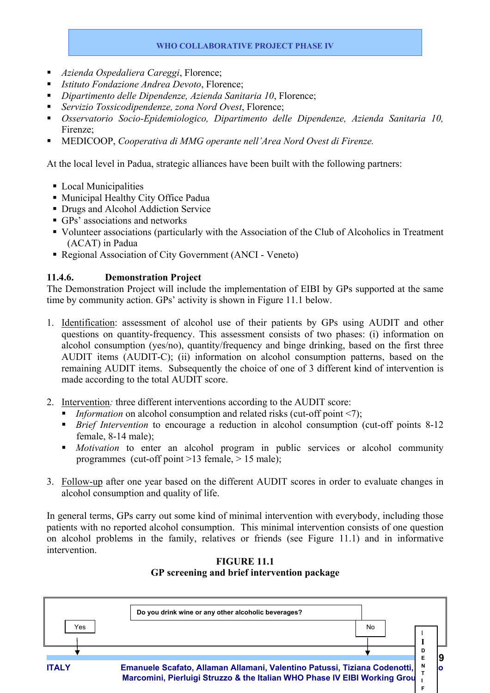- *Azienda Ospedaliera Careggi*, Florence;
- *Istituto Fondazione Andrea Devoto*, Florence;
- *Dipartimento delle Dipendenze, Azienda Sanitaria 10*, Florence;
- *Servizio Tossicodipendenze, zona Nord Ovest*, Florence;
- *Osservatorio Socio-Epidemiologico, Dipartimento delle Dipendenze, Azienda Sanitaria 10,*  Firenze;
- MEDICOOP, *Cooperativa di MMG operante nell'Area Nord Ovest di Firenze.*

At the local level in Padua, strategic alliances have been built with the following partners:

- Local Municipalities
- Municipal Healthy City Office Padua
- **Drugs and Alcohol Addiction Service**
- GPs' associations and networks
- Volunteer associations (particularly with the Association of the Club of Alcoholics in Treatment (ACAT) in Padua
- Regional Association of City Government (ANCI Veneto)

# **11.4.6. Demonstration Project**

The Demonstration Project will include the implementation of EIBI by GPs supported at the same time by community action. GPs' activity is shown in Figure 11.1 below.

- 1. Identification: assessment of alcohol use of their patients by GPs using AUDIT and other questions on quantity-frequency. This assessment consists of two phases: (i) information on alcohol consumption (yes/no), quantity/frequency and binge drinking, based on the first three AUDIT items (AUDIT-C); (ii) information on alcohol consumption patterns, based on the remaining AUDIT items. Subsequently the choice of one of 3 different kind of intervention is made according to the total AUDIT score.
- 2. Intervention*:* three different interventions according to the AUDIT score:
	- *Information* on alcohol consumption and related risks (cut-off point <7);
	- **Brief Intervention to encourage a reduction in alcohol consumption (cut-off points 8-12)** female, 8-14 male);
	- *Motivation* to enter an alcohol program in public services or alcohol community programmes (cut-off point >13 female, > 15 male);
- 3. Follow-up after one year based on the different AUDIT scores in order to evaluate changes in alcohol consumption and quality of life.

In general terms, GPs carry out some kind of minimal intervention with everybody, including those patients with no reported alcohol consumption. This minimal intervention consists of one question on alcohol problems in the family, relatives or friends (see Figure 11.1) and in informative intervention.



**FIGURE 11.1 GP screening and brief intervention package**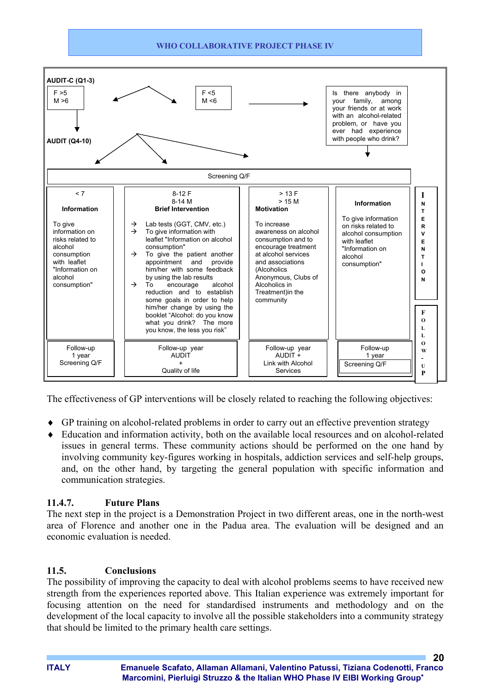

The effectiveness of GP interventions will be closely related to reaching the following objectives:

- ♦ GP training on alcohol-related problems in order to carry out an effective prevention strategy
- ♦ Education and information activity, both on the available local resources and on alcohol-related issues in general terms. These community actions should be performed on the one hand by involving community key-figures working in hospitals, addiction services and self-help groups, and, on the other hand, by targeting the general population with specific information and communication strategies.

# **11.4.7. Future Plans**

The next step in the project is a Demonstration Project in two different areas, one in the north-west area of Florence and another one in the Padua area. The evaluation will be designed and an economic evaluation is needed.

# **11.5. Conclusions**

The possibility of improving the capacity to deal with alcohol problems seems to have received new strength from the experiences reported above. This Italian experience was extremely important for focusing attention on the need for standardised instruments and methodology and on the development of the local capacity to involve all the possible stakeholders into a community strategy that should be limited to the primary health care settings.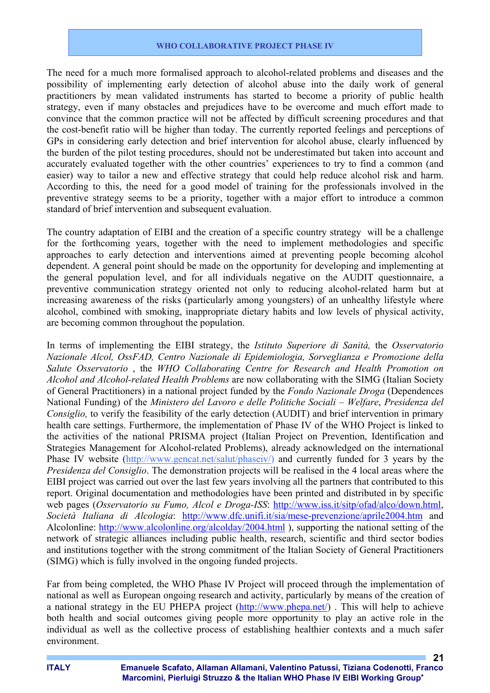The need for a much more formalised approach to alcohol-related problems and diseases and the possibility of implementing early detection of alcohol abuse into the daily work of general practitioners by mean validated instruments has started to become a priority of public health strategy, even if many obstacles and prejudices have to be overcome and much effort made to convince that the common practice will not be affected by difficult screening procedures and that the cost-benefit ratio will be higher than today. The currently reported feelings and perceptions of GPs in considering early detection and brief intervention for alcohol abuse, clearly influenced by the burden of the pilot testing procedures, should not be underestimated but taken into account and accurately evaluated together with the other countries' experiences to try to find a common (and easier) way to tailor a new and effective strategy that could help reduce alcohol risk and harm. According to this, the need for a good model of training for the professionals involved in the preventive strategy seems to be a priority, together with a major effort to introduce a common standard of brief intervention and subsequent evaluation.

The country adaptation of EIBI and the creation of a specific country strategy will be a challenge for the forthcoming years, together with the need to implement methodologies and specific approaches to early detection and interventions aimed at preventing people becoming alcohol dependent. A general point should be made on the opportunity for developing and implementing at the general population level, and for all individuals negative on the AUDIT questionnaire, a preventive communication strategy oriented not only to reducing alcohol-related harm but at increasing awareness of the risks (particularly among youngsters) of an unhealthy lifestyle where alcohol, combined with smoking, inappropriate dietary habits and low levels of physical activity, are becoming common throughout the population.

In terms of implementing the EIBI strategy, the *Istituto Superiore di Sanità,* the *Osservatorio Nazionale Alcol, OssFAD, Centro Nazionale di Epidemiologia, Sorveglianza e Promozione della Salute Osservatorio* , the *WHO Collaborating Centre for Research and Health Promotion on Alcohol and Alcohol-related Health Problems* are now collaborating with the SIMG (Italian Society of General Practitioners) in a national project funded by the *Fondo Nazionale Droga* (Dependences National Funding) of the *Ministero del Lavoro e delle Politiche Sociali – Welfare*, *Presidenza del Consiglio,* to verify the feasibility of the early detection (AUDIT) and brief intervention in primary health care settings. Furthermore, the implementation of Phase IV of the WHO Project is linked to the activities of the national PRISMA project (Italian Project on Prevention, Identification and Strategies Management for Alcohol-related Problems), already acknowledged on the international Phase IV website (http://www.gencat.net/salut/phaseiv/) and currently funded for 3 years by the *Presidenza del Consiglio*. The demonstration projects will be realised in the 4 local areas where the EIBI project was carried out over the last few years involving all the partners that contributed to this report. Original documentation and methodologies have been printed and distributed in by specific web pages (*Osservatorio su Fumo, Alcol e Droga-ISS*: http://www.iss.it/sitp/ofad/alco/down.html, *Società Italiana di Alcologia*: http://www.dfc.unifi.it/sia/mese-prevenzione/aprile2004.htm and Alcolonline: http://www.alcolonline.org/alcolday/2004.html ), supporting the national setting of the network of strategic alliances including public health, research, scientific and third sector bodies and institutions together with the strong commitment of the Italian Society of General Practitioners (SIMG) which is fully involved in the ongoing funded projects.

Far from being completed, the WHO Phase IV Project will proceed through the implementation of national as well as European ongoing research and activity, particularly by means of the creation of a national strategy in the EU PHEPA project (http://www.phepa.net/) . This will help to achieve both health and social outcomes giving people more opportunity to play an active role in the individual as well as the collective process of establishing healthier contexts and a much safer environment.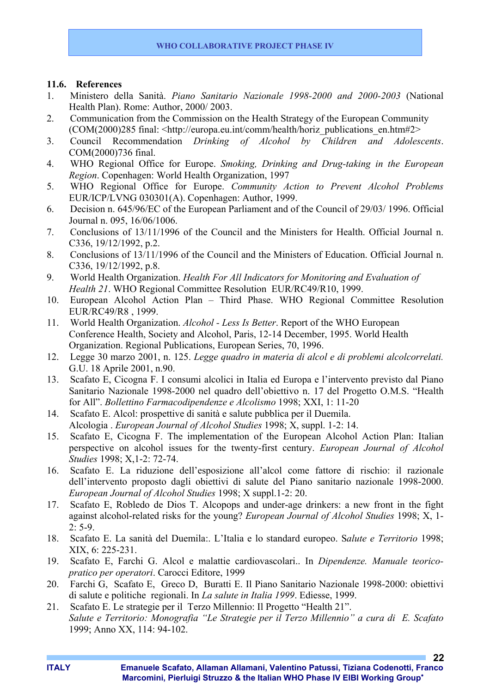#### **11.6. References**

- 1. Ministero della Sanità. *Piano Sanitario Nazionale 1998-2000 and 2000-2003* (National Health Plan). Rome: Author, 2000/ 2003.
- 2. Communication from the Commission on the Health Strategy of the European Community (COM(2000)285 final: <http://europa.eu.int/comm/health/horiz\_publications\_en.htm#2>
- 3. Council Recommendation *Drinking of Alcohol by Children and Adolescents*. COM(2000)736 final.
- 4. WHO Regional Office for Europe. *Smoking, Drinking and Drug-taking in the European Region*. Copenhagen: World Health Organization, 1997
- 5. WHO Regional Office for Europe. *Community Action to Prevent Alcohol Problems* EUR/ICP/LVNG 030301(A). Copenhagen: Author, 1999.
- 6. Decision n. 645/96/EC of the European Parliament and of the Council of 29/03/ 1996. Official Journal n. 095, 16/06/1006.
- 7. Conclusions of 13/11/1996 of the Council and the Ministers for Health. Official Journal n. C336, 19/12/1992, p.2.
- 8. Conclusions of 13/11/1996 of the Council and the Ministers of Education. Official Journal n. C336, 19/12/1992, p.8.
- 9. World Health Organization. *Health For All Indicators for Monitoring and Evaluation of Health 21*. WHO Regional Committee Resolution EUR/RC49/R10, 1999.
- 10. European Alcohol Action Plan Third Phase. WHO Regional Committee Resolution EUR/RC49/R8 , 1999.
- 11. World Health Organization. *Alcohol Less Is Better*. Report of the WHO European Conference Health, Society and Alcohol, Paris, 12-14 December, 1995. World Health Organization. Regional Publications, European Series, 70, 1996.
- 12. Legge 30 marzo 2001, n. 125. *Legge quadro in materia di alcol e di problemi alcolcorrelati.* G.U. 18 Aprile 2001, n.90.
- 13. Scafato E, Cicogna F. I consumi alcolici in Italia ed Europa e l'intervento previsto dal Piano Sanitario Nazionale 1998-2000 nel quadro dell'obiettivo n. 17 del Progetto O.M.S. "Health for All". *Bollettino Farmacodipendenze e Alcolismo* 1998; XXI, 1: 11-20
- 14. Scafato E. Alcol: prospettive di sanità e salute pubblica per il Duemila. Alcologia . *European Journal of Alcohol Studies* 1998; X, suppl. 1-2: 14.
- 15. Scafato E, Cicogna F. The implementation of the European Alcohol Action Plan: Italian perspective on alcohol issues for the twenty-first century. *European Journal of Alcohol Studies* 1998; X,1-2: 72-74.
- 16. Scafato E. La riduzione dell'esposizione all'alcol come fattore di rischio: il razionale dell'intervento proposto dagli obiettivi di salute del Piano sanitario nazionale 1998-2000. *European Journal of Alcohol Studies* 1998; X suppl.1-2: 20.
- 17. Scafato E, Robledo de Dios T. Alcopops and under-age drinkers: a new front in the fight against alcohol-related risks for the young? *European Journal of Alcohol Studies* 1998; X, 1-  $2: 5-9.$
- 18. Scafato E. La sanità del Duemila:. L'Italia e lo standard europeo. S*alute e Territorio* 1998; XIX, 6: 225-231.
- 19. Scafato E, Farchi G. Alcol e malattie cardiovascolari.. In *Dipendenze. Manuale teoricopratico per operatori*. Carocci Editore, 1999
- 20. Farchi G, Scafato E, Greco D, Buratti E. Il Piano Sanitario Nazionale 1998-2000: obiettivi di salute e politiche regionali. In *La salute in Italia 1999*. Ediesse, 1999.
- 21. Scafato E. Le strategie per il Terzo Millennio: Il Progetto "Health 21". *Salute e Territorio: Monografia "Le Strategie per il Terzo Millennio" a cura di E. Scafato* 1999; Anno XX, 114: 94-102.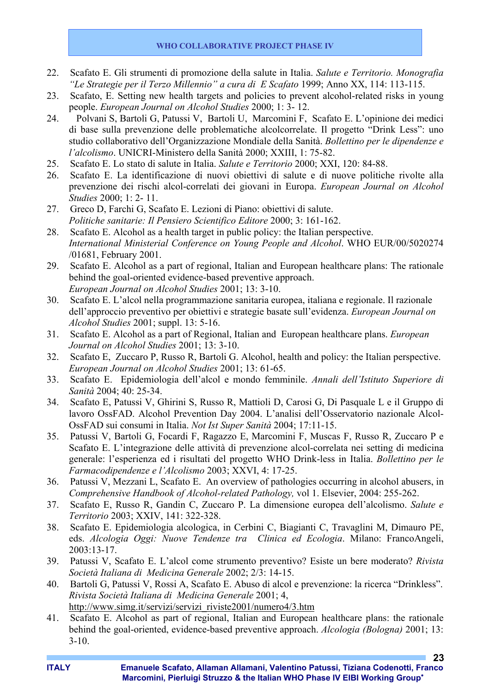- 22. Scafato E. Gli strumenti di promozione della salute in Italia. *Salute e Territorio. Monografia "Le Strategie per il Terzo Millennio" a cura di E Scafato* 1999; Anno XX, 114: 113-115.
- 23. Scafato, E. Setting new health targets and policies to prevent alcohol-related risks in young people. *European Journal on Alcohol Studies* 2000; 1: 3- 12.
- 24. Polvani S, Bartoli G, Patussi V, Bartoli U, Marcomini F, Scafato E. L'opinione dei medici di base sulla prevenzione delle problematiche alcolcorrelate. Il progetto "Drink Less": uno studio collaborativo dell'Organizzazione Mondiale della Sanità. *Bollettino per le dipendenze e l'alcolismo*. UNICRI-Ministero della Sanità 2000; XXIII, 1: 75-82.
- 25. Scafato E. Lo stato di salute in Italia. *Salute e Territorio* 2000; XXI, 120: 84-88.
- 26. Scafato E. La identificazione di nuovi obiettivi di salute e di nuove politiche rivolte alla prevenzione dei rischi alcol-correlati dei giovani in Europa. *European Journal on Alcohol Studies* 2000; 1: 2- 11.
- 27. Greco D, Farchi G, Scafato E. Lezioni di Piano: obiettivi di salute. *Politiche sanitarie: Il Pensiero Scientifico Editore* 2000; 3: 161-162.
- 28. Scafato E. Alcohol as a health target in public policy: the Italian perspective. *International Ministerial Conference on Young People and Alcohol*. WHO EUR/00/5020274 /01681, February 2001.
- 29. Scafato E. Alcohol as a part of regional, Italian and European healthcare plans: The rationale behind the goal-oriented evidence-based preventive approach. *European Journal on Alcohol Studies* 2001; 13: 3-10.
- 30. Scafato E. L'alcol nella programmazione sanitaria europea, italiana e regionale. Il razionale dell'approccio preventivo per obiettivi e strategie basate sull'evidenza. *European Journal on Alcohol Studies* 2001; suppl. 13: 5-16.
- 31. Scafato E. Alcohol as a part of Regional, Italian and European healthcare plans. *European Journal on Alcohol Studies* 2001; 13: 3-10.
- 32. Scafato E, Zuccaro P, Russo R, Bartoli G. Alcohol, health and policy: the Italian perspective. *European Journal on Alcohol Studies* 2001; 13: 61-65.
- 33. Scafato E. Epidemiologia dell'alcol e mondo femminile. *Annali dell'Istituto Superiore di Sanità* 2004; 40: 25-34.
- 34. Scafato E, Patussi V, Ghirini S, Russo R, Mattioli D, Carosi G, Di Pasquale L e il Gruppo di lavoro OssFAD. Alcohol Prevention Day 2004. L'analisi dell'Osservatorio nazionale Alcol-OssFAD sui consumi in Italia. *Not Ist Super Sanità* 2004; 17:11-15.
- 35. Patussi V, Bartoli G, Focardi F, Ragazzo E, Marcomini F, Muscas F, Russo R, Zuccaro P e Scafato E. L'integrazione delle attività di prevenzione alcol-correlata nei setting di medicina generale: l'esperienza ed i risultati del progetto WHO Drink-less in Italia. *Bollettino per le Farmacodipendenze e l'Alcolismo* 2003; XXVI, 4: 17-25.
- 36. Patussi V, Mezzani L, Scafato E. An overview of pathologies occurring in alcohol abusers, in *Comprehensive Handbook of Alcohol-related Pathology,* vol 1. Elsevier, 2004: 255-262.
- 37. Scafato E, Russo R, Gandin C, Zuccaro P. La dimensione europea dell'alcolismo. *Salute e Territorio* 2003; XXIV, 141: 322-328.
- 38. Scafato E. Epidemiologia alcologica, in Cerbini C, Biagianti C, Travaglini M, Dimauro PE, eds. *Alcologia Oggi: Nuove Tendenze tra Clinica ed Ecologia*. Milano: FrancoAngeli, 2003:13-17.
- 39. Patussi V, Scafato E. L'alcol come strumento preventivo? Esiste un bere moderato? *Rivista Società Italiana di Medicina Generale* 2002; 2/3: 14-15.
- 40. Bartoli G, Patussi V, Rossi A, Scafato E. Abuso di alcol e prevenzione: la ricerca "Drinkless". *Rivista Società Italiana di Medicina Generale* 2001; 4, http://www.simg.it/servizi/servizi\_riviste2001/numero4/3.htm
- 41. Scafato E. Alcohol as part of regional, Italian and European healthcare plans: the rationale behind the goal-oriented, evidence-based preventive approach. *Alcologia (Bologna)* 2001; 13: 3-10.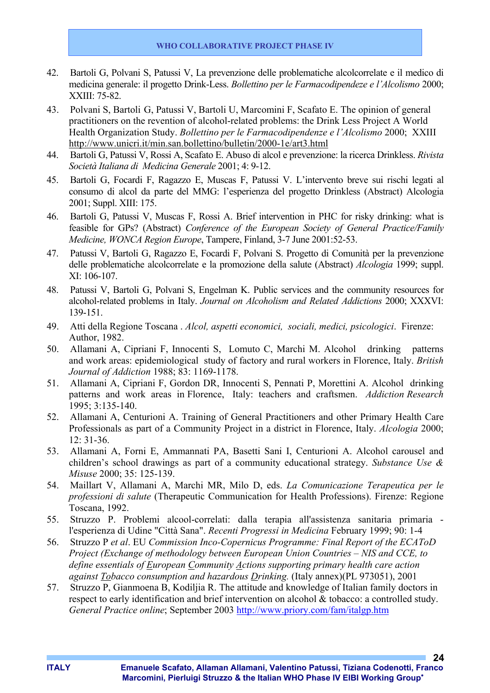- 42. Bartoli G, Polvani S, Patussi V, La prevenzione delle problematiche alcolcorrelate e il medico di medicina generale: il progetto Drink-Less. *Bollettino per le Farmacodipendeze e l'Alcolismo* 2000; XXIII: 75-82.
- 43. Polvani S, Bartoli G, Patussi V, Bartoli U, Marcomini F, Scafato E. The opinion of general practitioners on the revention of alcohol-related problems: the Drink Less Project A World Health Organization Study. *Bollettino per le Farmacodipendenze e l'Alcolismo* 2000; XXIII http://www.unicri.it/min.san.bollettino/bulletin/2000-1e/art3.html
- 44. Bartoli G, Patussi V, Rossi A, Scafato E. Abuso di alcol e prevenzione: la ricerca Drinkless. *Rivista Società Italiana di Medicina Generale* 2001; 4: 9-12.
- 45. Bartoli G, Focardi F, Ragazzo E, Muscas F, Patussi V. L'intervento breve sui rischi legati al consumo di alcol da parte del MMG: l'esperienza del progetto Drinkless (Abstract) Alcologia 2001; Suppl. XIII: 175.
- 46. Bartoli G, Patussi V, Muscas F, Rossi A. Brief intervention in PHC for risky drinking: what is feasible for GPs? (Abstract) *Conference of the European Society of General Practice/Family Medicine, WONCA Region Europe*, Tampere, Finland, 3-7 June 2001:52-53.
- 47. Patussi V, Bartoli G, Ragazzo E, Focardi F, Polvani S. Progetto di Comunità per la prevenzione delle problematiche alcolcorrelate e la promozione della salute (Abstract) *Alcologia* 1999; suppl.  $XI: 106-107$
- 48. Patussi V, Bartoli G, Polvani S, Engelman K. Public services and the community resources for alcohol-related problems in Italy. *Journal on Alcoholism and Related Addictions* 2000; XXXVI: 139-151.
- 49. Atti della Regione Toscana . *Alcol, aspetti economici, sociali, medici, psicologici*. Firenze: Author, 1982.
- 50. Allamani A, Cipriani F, Innocenti S, Lomuto C, Marchi M. Alcohol drinking patterns and work areas: epidemiological study of factory and rural workers in Florence, Italy. *British Journal of Addiction* 1988; 83: 1169-1178.
- 51. Allamani A, Cipriani F, Gordon DR, Innocenti S, Pennati P, Morettini A. Alcohol drinking patterns and work areas in Florence, Italy: teachers and craftsmen. *Addiction Research* 1995; 3:135-140.
- 52. Allamani A, Centurioni A. Training of General Practitioners and other Primary Health Care Professionals as part of a Community Project in a district in Florence, Italy. *Alcologia* 2000; 12: 31-36.
- 53. Allamani A, Forni E, Ammannati PA, Basetti Sani I, Centurioni A. Alcohol carousel and children's school drawings as part of a community educational strategy. *Substance Use & Misuse* 2000; 35: 125-139.
- 54. Maillart V, Allamani A, Marchi MR, Milo D, eds. *La Comunicazione Terapeutica per le professioni di salute* (Therapeutic Communication for Health Professions). Firenze: Regione Toscana, 1992.
- 55. Struzzo P. Problemi alcool-correlati: dalla terapia all'assistenza sanitaria primaria l'esperienza di Udine "Città Sana". *Recenti Progressi in Medicina* February 1999; 90: 1-4
- 56. Struzzo P *et al*. EU *Commission Inco-Copernicus Programme: Final Report of the ECAToD Project (Exchange of methodology between European Union Countries – NIS and CCE, to define essentials of European Community Actions supporting primary health care action against Tobacco consumption and hazardous Drinking.* (Italy annex)(PL 973051), 2001
- 57. Struzzo P, Gianmoena B, Kodiljia R. The attitude and knowledge of Italian family doctors in respect to early identification and brief intervention on alcohol & tobacco: a controlled study. *General Practice online*; September 2003 http://www.priory.com/fam/italgp.htm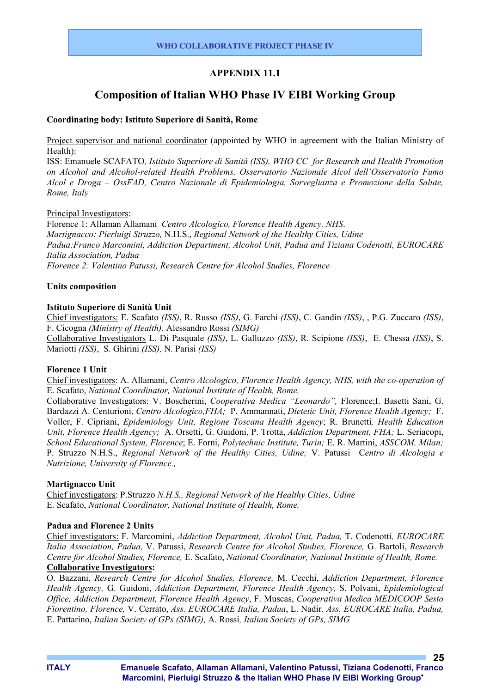# **APPENDIX 11.1**

# **Composition of Italian WHO Phase IV EIBI Working Group**

#### **Coordinating body: Istituto Superiore di Sanità, Rome**

Project supervisor and national coordinator (appointed by WHO in agreement with the Italian Ministry of Health):

ISS: Emanuele SCAFATO*, Istituto Superiore di Sanità (ISS), WHO CC for Research and Health Promotion on Alcohol and Alcohol-related Health Problems, Osservatorio Nazionale Alcol dell'Osservatorio Fumo Alcol e Droga – OssFAD, Centro Nazionale di Epidemiologia, Sorveglianza e Promozione della Salute, Rome, Italy* 

#### Principal Investigators:

Florence 1: Allaman Allamani *Centro Alcologico, Florence Health Agency, NHS*. *Martignacco: Pierluigi Struzzo,* N.H.S., *Regional Network of the Healthy Cities, Udine Padua:Franco Marcomini, Addiction Department, Alcohol Unit, Padua and Tiziana Codenotti, EUROCARE Italia Association, Padua Florence 2: Valentino Patussi, Research Centre for Alcohol Studies, Florence*

#### **Units composition**

#### **Istituto Superiore di Sanità Unit**

Chief investigators: E. Scafato *(ISS)*, R. Russo *(ISS)*, G. Farchi *(ISS)*, C. Gandin *(ISS)*, , P.G. Zuccaro *(ISS)*, F. Cicogna *(Ministry of Health),* Alessandro Rossi *(SIMG)*

Collaborative Investigators L. Di Pasquale *(ISS)*, L. Galluzzo *(ISS)*, R. Scipione *(ISS)*, E. Chessa *(ISS)*, S. Mariotti *(ISS)*, S. Ghirini *(ISS),* N. Parisi *(ISS)*

#### **Florence 1 Unit**

Chief investigators: A. Allamani, *Centro Alcologico, Florence Health Agency, NHS, with the co-operation of* E. Scafato, *National Coordinator, National Institute of Health, Rome.*

Collaborative Investigators: V. Boscherini, *Cooperativa Medica "Leonardo",* Florence;I. Basetti Sani, G. Bardazzi A. Centurioni, *Centro Alcologico,FHA;* P. Ammannati, *Dietetic Unit, Florence Health Agency;* F. Voller, F. Cipriani, *Epidemiology Unit, Regione Toscana Health Agency*; R. Brunetti*, Health Education Unit, Florence Health Agency;* A. Orsetti, G. Guidoni, P. Trotta, *Addiction Department, FHA;* L. Seriacopi, *School Educational System, Florence*; E. Forni, *Polytechnic Institute, Turin;* E. R. Martini, *ASSCOM, Milan;*  P. Struzzo N.H.S., *Regional Network of the Healthy Cities, Udine;* V. Patussi C*entro di Alcologia e Nutrizione, University of Florence.,* 

#### **Martignacco Unit**

Chief investigators: P.Struzzo *N.H.S., Regional Network of the Healthy Cities, Udine*  E. Scafato, *National Coordinator, National Institute of Health, Rome.*

#### **Padua and Florence 2 Units**

Chief investigators: F. Marcomini, *Addiction Department, Alcohol Unit, Padua,* T. Codenotti*, EUROCARE Italia Association, Padua,* V. Patussi, *Research Centre for Alcohol Studies, Florence,* G. Bartoli, *Research Centre for Alcohol Studies, Florence,* E. Scafato, *National Coordinator, National Institute of Health, Rome.* **Collaborative Investigators:** 

O. Bazzani, *Research Centre for Alcohol Studies, Florence,* M. Cecchi, *Addiction Department, Florence Health Agency,* G. Guidoni, *Addiction Department, Florence Health Agency,* S. Polvani, *Epidemiological Office, Addiction Department, Florence Health Agency*, F. Muscas, *Cooperativa Medica MEDICOOP Sesto Fiorentino, Florence,* V. Cerrato, *Ass. EUROCARE Italia, Padua*, L. Nadir*, Ass. EUROCARE Italia, Padua,*  E. Pattarino, *Italian Society of GPs (SIMG),* A. Rossi*, Italian Society of GPs, SIMG*